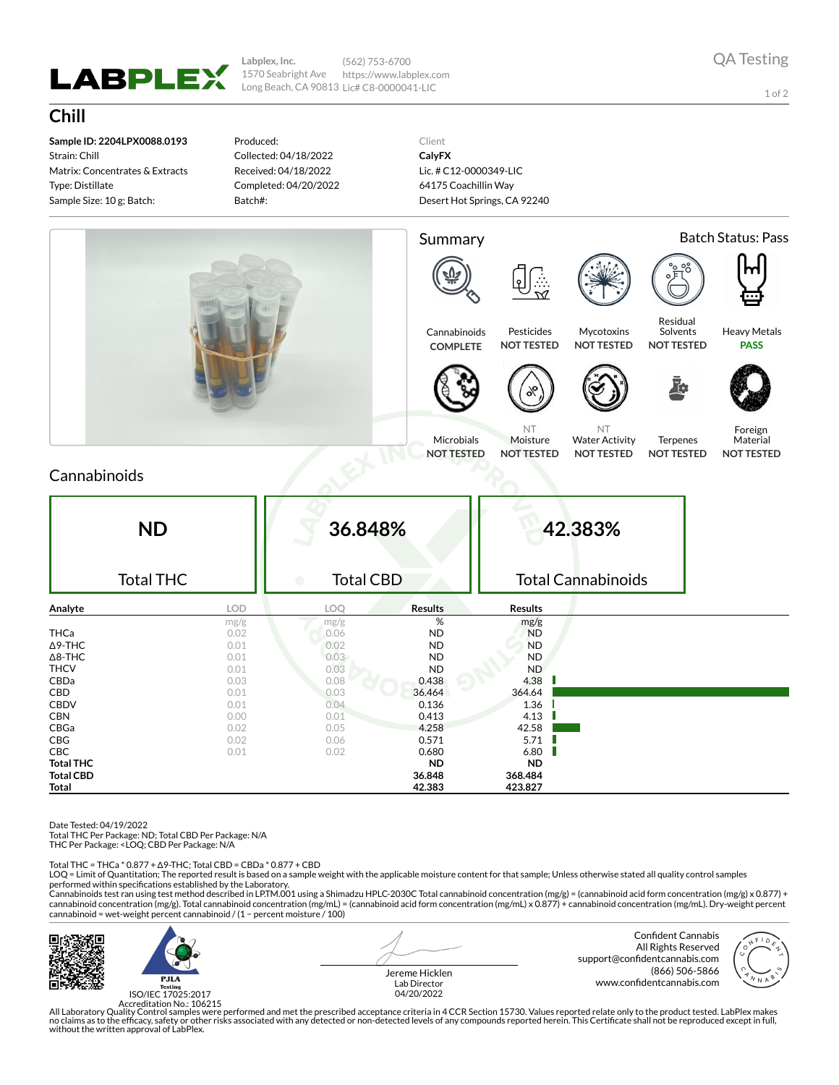

**Labplex, Inc.** 1570 Seabright Ave Long Beach, CA 90813 Lic# C8-0000041-LIC (562) 753-6700 https://www.labplex.com

1 of 2

## **Chill**

**Sample ID: 2204LPX0088.0193** Strain: Chill Matrix: Concentrates & Extracts Type: Distillate Sample Size: 10 g; Batch:

Produced: Collected: 04/18/2022 Received: 04/18/2022 Completed: 04/20/2022 Batch#:

Client **CalyFX** Lic. # C12-0000349-LIC 64175 Coachillin Way Desert Hot Springs, CA 92240



### Cannabinoids

| <b>ND</b><br><b>Total THC</b> |            | 36.848%<br><b>Total CBD</b><br>$\bullet$ |                | 42.383%<br><b>Total Cannabinoids</b> |  |  |
|-------------------------------|------------|------------------------------------------|----------------|--------------------------------------|--|--|
| Analyte                       | <b>LOD</b> | LOQ                                      | <b>Results</b> | <b>Results</b>                       |  |  |
|                               | mg/g       | mg/g                                     | %              | mg/g                                 |  |  |
| <b>THCa</b>                   | 0.02       | 0.06                                     | <b>ND</b>      | <b>ND</b>                            |  |  |
| $\Delta$ 9-THC                | 0.01       | 0.02                                     | <b>ND</b>      | <b>ND</b>                            |  |  |
| $\Delta$ 8-THC                | 0.01       | 0.03                                     | <b>ND</b>      | <b>ND</b>                            |  |  |
| <b>THCV</b>                   | 0.01       | 0.03                                     | <b>ND</b>      | <b>ND</b>                            |  |  |
| CBDa                          | 0.03       | 0.08                                     | 0.438          | 4.38                                 |  |  |
| CBD                           | 0.01       | 0.03                                     | 36.464         | 364.64                               |  |  |
| <b>CBDV</b>                   | 0.01       | 0.04                                     | 0.136          | 1.36                                 |  |  |
| <b>CBN</b>                    | 0.00       | 0.01                                     | 0.413          | 4.13                                 |  |  |
| CBGa                          | 0.02       | 0.05                                     | 4.258          | 42.58                                |  |  |
| CBG                           | 0.02       | 0.06                                     | 0.571          | 5.71                                 |  |  |
| <b>CBC</b>                    | 0.01       | 0.02                                     | 0.680          | 6.80                                 |  |  |
| <b>Total THC</b>              |            |                                          | <b>ND</b>      | <b>ND</b>                            |  |  |
| <b>Total CBD</b>              |            |                                          | 36.848         | 368.484                              |  |  |
| Total                         |            |                                          | 42.383         | 423.827                              |  |  |

Date Tested: 04/19/2022

Total THC Per Package: ND; Total CBD Per Package: N/A

THC Per Package: <LOQ; CBD Per Package: N/A

Total THC = THCa \* 0.877 + ∆9-THC; Total CBD = CBDa \* 0.877 + CBD

LOQ = Limit of Quantitation; The reported result is based on a sample weight with the applicable moisture content for that sample; Unless otherwise stated all quality control samples performed within specifications established by the Laboratory.

Cannabinoids test ran using test method described in LP.TM.001 using a Shimadzu HPLC-2030C Total cannabinoid concentration (mg/g) = (cannabinoid acid form concentration (mg/g) x 0.877) +<br>cannabinoid concentration (mg/g). T cannabinoid = wet-weight percent cannabinoid / (1 − percent moisture / 100)



 $P.H.A$ ISO/IEC 17025:2017 Jereme Hicklen Lab Director 04/20/2022

Confident Cannabis All Rights Reserved support@confidentcannabis.com (866) 506-5866 www.confidentcannabis.com



Accreditation No.: 106215<br>All Laboratory Quality Control samples were performed and met the prescribed acceptance criteria in 4 CCR Section 15730. Values reported relate only to the product tested. LabPlex makes<br>Ino claims without the written approval of LabPlex.